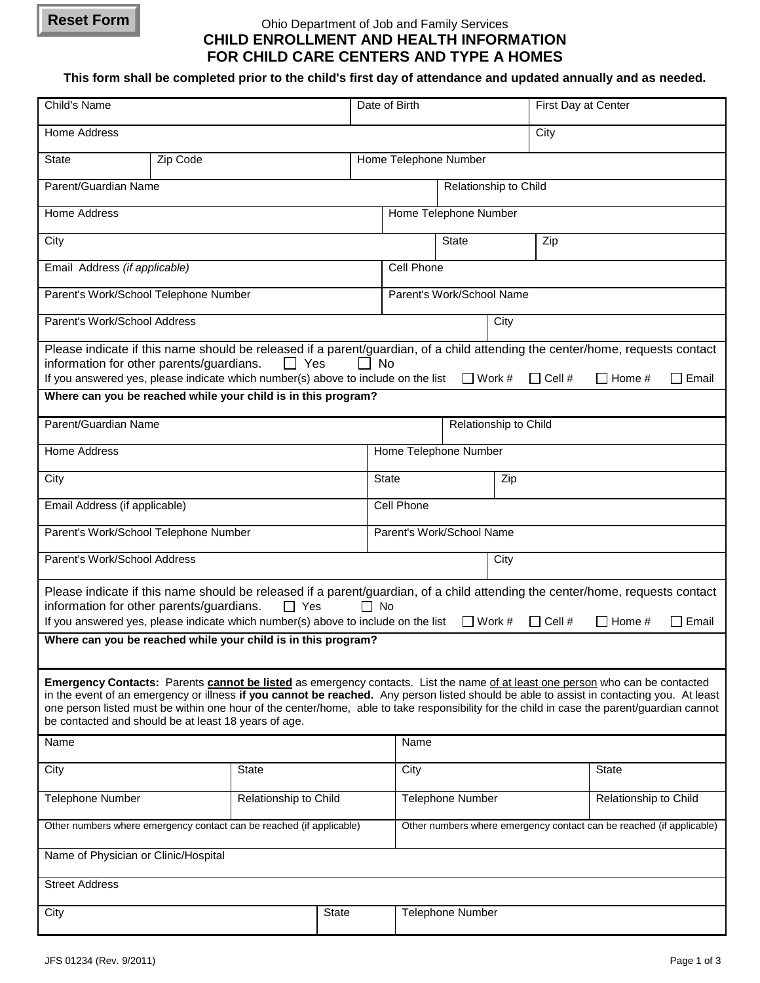## **Reset Form**

## Ohio Department of Job and Family Services **CHILD ENROLLMENT AND HEALTH INFORMATION FOR CHILD CARE CENTERS AND TYPE A HOMES**

**This form shall be completed prior to the child's first day of attendance and updated annually and as needed.**

| Child's Name                                                                                                                                                                                                                                                                                                                                                                                                                                                                    |                       |  | Date of Birth                                                        |                                                |                     |  | First Day at Center   |  |  |
|---------------------------------------------------------------------------------------------------------------------------------------------------------------------------------------------------------------------------------------------------------------------------------------------------------------------------------------------------------------------------------------------------------------------------------------------------------------------------------|-----------------------|--|----------------------------------------------------------------------|------------------------------------------------|---------------------|--|-----------------------|--|--|
| Home Address                                                                                                                                                                                                                                                                                                                                                                                                                                                                    |                       |  |                                                                      | City                                           |                     |  |                       |  |  |
| <b>State</b><br>Zip Code                                                                                                                                                                                                                                                                                                                                                                                                                                                        |                       |  | Home Telephone Number                                                |                                                |                     |  |                       |  |  |
| Parent/Guardian Name                                                                                                                                                                                                                                                                                                                                                                                                                                                            |                       |  |                                                                      | Relationship to Child                          |                     |  |                       |  |  |
| <b>Home Address</b>                                                                                                                                                                                                                                                                                                                                                                                                                                                             |                       |  | Home Telephone Number                                                |                                                |                     |  |                       |  |  |
| City                                                                                                                                                                                                                                                                                                                                                                                                                                                                            |                       |  |                                                                      |                                                | <b>State</b><br>Zip |  |                       |  |  |
| Email Address (if applicable)                                                                                                                                                                                                                                                                                                                                                                                                                                                   |                       |  |                                                                      | Cell Phone                                     |                     |  |                       |  |  |
| Parent's Work/School Telephone Number                                                                                                                                                                                                                                                                                                                                                                                                                                           |                       |  | Parent's Work/School Name                                            |                                                |                     |  |                       |  |  |
| Parent's Work/School Address                                                                                                                                                                                                                                                                                                                                                                                                                                                    |                       |  | City                                                                 |                                                |                     |  |                       |  |  |
| Please indicate if this name should be released if a parent/guardian, of a child attending the center/home, requests contact<br>information for other parents/guardians.<br>  Yes<br><b>No</b><br>$\mathsf{L}$<br>If you answered yes, please indicate which number(s) above to include on the list<br>$\Box$ Work #<br>$\Box$ Cell #<br>$\Box$ Home #<br>□ Email<br>Where can you be reached while your child is in this program?                                              |                       |  |                                                                      |                                                |                     |  |                       |  |  |
| Parent/Guardian Name                                                                                                                                                                                                                                                                                                                                                                                                                                                            |                       |  |                                                                      |                                                |                     |  |                       |  |  |
|                                                                                                                                                                                                                                                                                                                                                                                                                                                                                 |                       |  |                                                                      | Relationship to Child<br>Home Telephone Number |                     |  |                       |  |  |
|                                                                                                                                                                                                                                                                                                                                                                                                                                                                                 | <b>Home Address</b>   |  |                                                                      | <b>State</b><br>Zip                            |                     |  |                       |  |  |
| City                                                                                                                                                                                                                                                                                                                                                                                                                                                                            |                       |  | Cell Phone                                                           |                                                |                     |  |                       |  |  |
| Email Address (if applicable)                                                                                                                                                                                                                                                                                                                                                                                                                                                   |                       |  | Parent's Work/School Name                                            |                                                |                     |  |                       |  |  |
| Parent's Work/School Telephone Number                                                                                                                                                                                                                                                                                                                                                                                                                                           |                       |  |                                                                      |                                                |                     |  |                       |  |  |
| Parent's Work/School Address                                                                                                                                                                                                                                                                                                                                                                                                                                                    |                       |  |                                                                      | City                                           |                     |  |                       |  |  |
| Please indicate if this name should be released if a parent/guardian, of a child attending the center/home, requests contact<br>information for other parents/guardians.<br>$\Box$ Yes<br>$\Box$ No<br>If you answered yes, please indicate which number(s) above to include on the list<br>$\Box$ Work #<br>$\Box$ Cell #<br>$\Box$ Home #<br>$\Box$ Email                                                                                                                     |                       |  |                                                                      |                                                |                     |  |                       |  |  |
| Where can you be reached while your child is in this program?                                                                                                                                                                                                                                                                                                                                                                                                                   |                       |  |                                                                      |                                                |                     |  |                       |  |  |
| Emergency Contacts: Parents cannot be listed as emergency contacts. List the name of at least one person who can be contacted<br>in the event of an emergency or illness if you cannot be reached. Any person listed should be able to assist in contacting you. At least<br>one person listed must be within one hour of the center/home, able to take responsibility for the child in case the parent/guardian cannot<br>be contacted and should be at least 18 years of age. |                       |  |                                                                      |                                                |                     |  |                       |  |  |
| Name                                                                                                                                                                                                                                                                                                                                                                                                                                                                            |                       |  |                                                                      | Name                                           |                     |  |                       |  |  |
| City                                                                                                                                                                                                                                                                                                                                                                                                                                                                            | <b>State</b>          |  |                                                                      | City                                           |                     |  | <b>State</b>          |  |  |
| Telephone Number                                                                                                                                                                                                                                                                                                                                                                                                                                                                | Relationship to Child |  |                                                                      | Telephone Number                               |                     |  | Relationship to Child |  |  |
| Other numbers where emergency contact can be reached (if applicable)                                                                                                                                                                                                                                                                                                                                                                                                            |                       |  | Other numbers where emergency contact can be reached (if applicable) |                                                |                     |  |                       |  |  |
| Name of Physician or Clinic/Hospital                                                                                                                                                                                                                                                                                                                                                                                                                                            |                       |  |                                                                      |                                                |                     |  |                       |  |  |
| <b>Street Address</b>                                                                                                                                                                                                                                                                                                                                                                                                                                                           |                       |  |                                                                      |                                                |                     |  |                       |  |  |
| State<br>City                                                                                                                                                                                                                                                                                                                                                                                                                                                                   |                       |  |                                                                      | Telephone Number                               |                     |  |                       |  |  |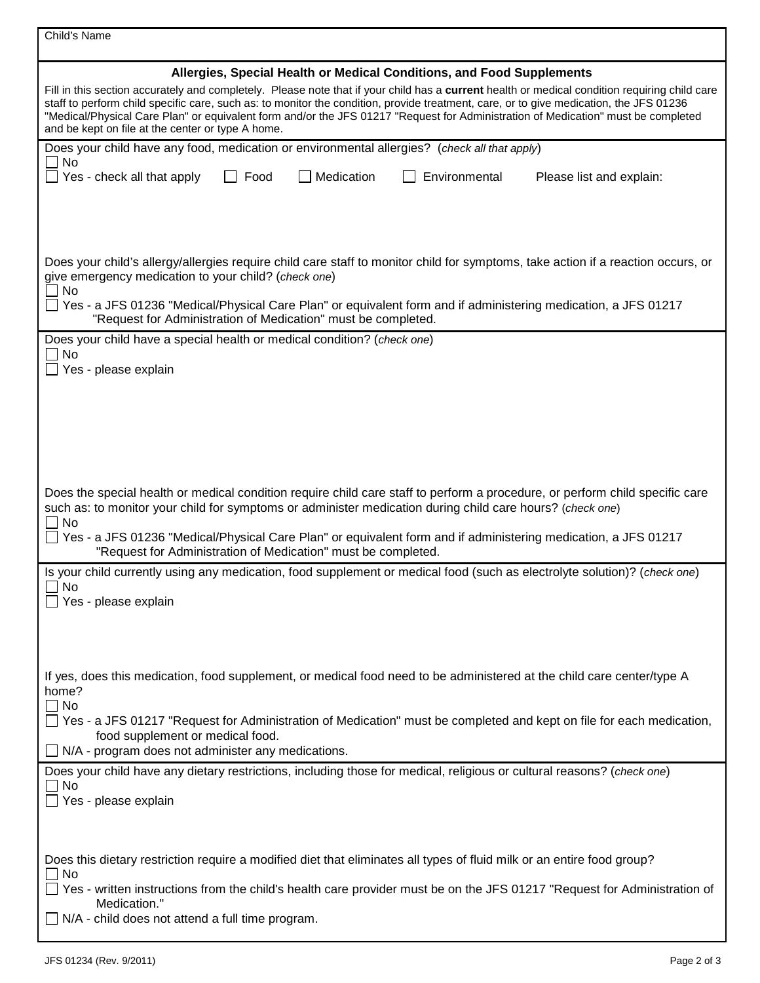| Child's Name                                                                                                                                                                                                                                                                                                                                                                                                                                                                                                                                               |  |  |  |  |  |
|------------------------------------------------------------------------------------------------------------------------------------------------------------------------------------------------------------------------------------------------------------------------------------------------------------------------------------------------------------------------------------------------------------------------------------------------------------------------------------------------------------------------------------------------------------|--|--|--|--|--|
| Allergies, Special Health or Medical Conditions, and Food Supplements<br>Fill in this section accurately and completely. Please note that if your child has a current health or medical condition requiring child care<br>staff to perform child specific care, such as: to monitor the condition, provide treatment, care, or to give medication, the JFS 01236<br>"Medical/Physical Care Plan" or equivalent form and/or the JFS 01217 "Request for Administration of Medication" must be completed<br>and be kept on file at the center or type A home. |  |  |  |  |  |
| Does your child have any food, medication or environmental allergies? (check all that apply)                                                                                                                                                                                                                                                                                                                                                                                                                                                               |  |  |  |  |  |
| No<br>$\Box$ Yes - check all that apply<br>Medication<br>$\Box$ Food<br>Environmental<br>Please list and explain:                                                                                                                                                                                                                                                                                                                                                                                                                                          |  |  |  |  |  |
| Does your child's allergy/allergies require child care staff to monitor child for symptoms, take action if a reaction occurs, or<br>give emergency medication to your child? (check one)<br>No<br>Yes - a JFS 01236 "Medical/Physical Care Plan" or equivalent form and if administering medication, a JFS 01217<br>"Request for Administration of Medication" must be completed.                                                                                                                                                                          |  |  |  |  |  |
| Does your child have a special health or medical condition? (check one)<br>No<br>$\Box$ Yes - please explain                                                                                                                                                                                                                                                                                                                                                                                                                                               |  |  |  |  |  |
| Does the special health or medical condition require child care staff to perform a procedure, or perform child specific care<br>such as: to monitor your child for symptoms or administer medication during child care hours? (check one)<br>$\Box$ No                                                                                                                                                                                                                                                                                                     |  |  |  |  |  |
| □ Yes - a JFS 01236 "Medical/Physical Care Plan" or equivalent form and if administering medication, a JFS 01217<br>"Request for Administration of Medication" must be completed.                                                                                                                                                                                                                                                                                                                                                                          |  |  |  |  |  |
| Is your child currently using any medication, food supplement or medical food (such as electrolyte solution)? (check one)<br>$\Box$ No<br>$\Box$ Yes - please explain                                                                                                                                                                                                                                                                                                                                                                                      |  |  |  |  |  |
| If yes, does this medication, food supplement, or medical food need to be administered at the child care center/type A<br>home?<br>$\Box$ No<br>□ Yes - a JFS 01217 "Request for Administration of Medication" must be completed and kept on file for each medication,                                                                                                                                                                                                                                                                                     |  |  |  |  |  |
| food supplement or medical food.<br>$\Box$ N/A - program does not administer any medications.                                                                                                                                                                                                                                                                                                                                                                                                                                                              |  |  |  |  |  |
| Does your child have any dietary restrictions, including those for medical, religious or cultural reasons? (check one)<br>No<br>Yes - please explain                                                                                                                                                                                                                                                                                                                                                                                                       |  |  |  |  |  |
| Does this dietary restriction require a modified diet that eliminates all types of fluid milk or an entire food group?<br>$\Box$ No<br>$\Box$ Yes - written instructions from the child's health care provider must be on the JFS 01217 "Request for Administration of<br>Medication."<br>$\Box$ N/A - child does not attend a full time program.                                                                                                                                                                                                          |  |  |  |  |  |